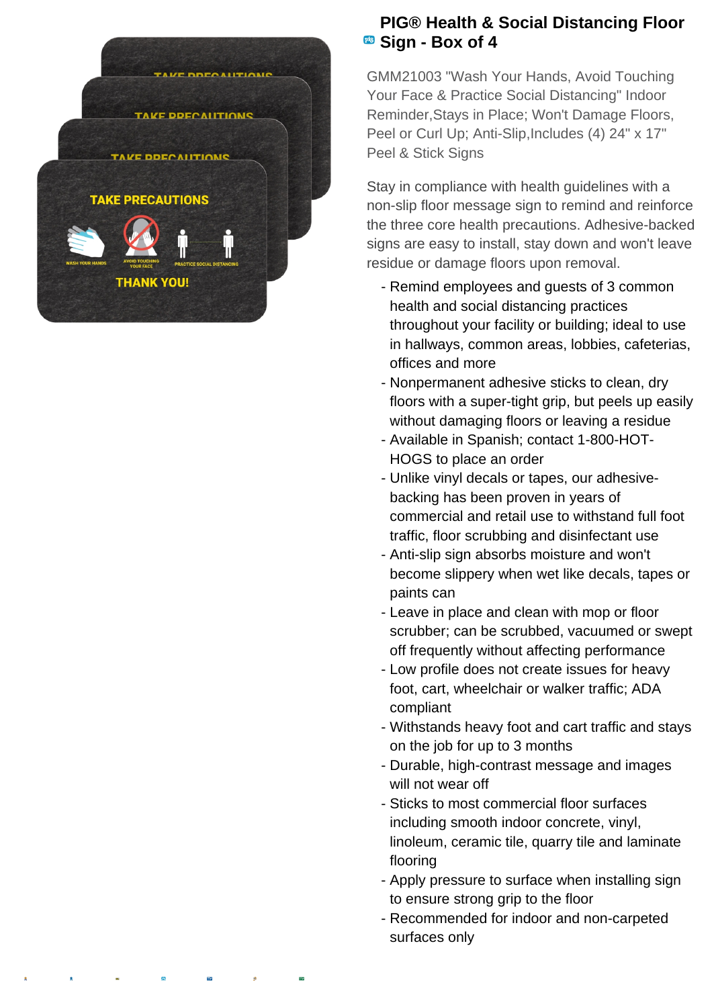

## **PIG® Health & Social Distancing Floor Box of 4**

GMM21003 "Wash Your Hands, Avoid Touching Your Face & Practice Social Distancing" Indoor Reminder,Stays in Place; Won't Damage Floors, Peel or Curl Up; Anti-Slip, Includes (4) 24" x 17" Peel & Stick Signs

Stay in compliance with health guidelines with a non-slip floor message sign to remind and reinforce the three core health precautions. Adhesive-backed signs are easy to install, stay down and won't leave residue or damage floors upon removal.

- Remind employees and guests of 3 common health and social distancing practices throughout your facility or building; ideal to use in hallways, common areas, lobbies, cafeterias, offices and more
- Nonpermanent adhesive sticks to clean, dry floors with a super-tight grip, but peels up easily without damaging floors or leaving a residue
- Available in Spanish; contact 1-800-HOT-HOGS to place an order
- Unlike vinyl decals or tapes, our adhesive- backing has been proven in years of commercial and retail use to withstand full foot traffic, floor scrubbing and disinfectant use
- Anti-slip sign absorbs moisture and won't become slippery when wet like decals, tapes or paints can
- Leave in place and clean with mop or floor scrubber; can be scrubbed, vacuumed or swept off frequently without affecting performance
- Low profile does not create issues for heavy foot, cart, wheelchair or walker traffic; ADA compliant
- Withstands heavy foot and cart traffic and stays on the job for up to 3 months
- Durable, high-contrast message and images will not wear off
- Sticks to most commercial floor surfaces including smooth indoor concrete, vinyl, linoleum, ceramic tile, quarry tile and laminate flooring
- Apply pressure to surface when installing sign to ensure strong grip to the floor
- Recommended for indoor and non-carpeted surfaces only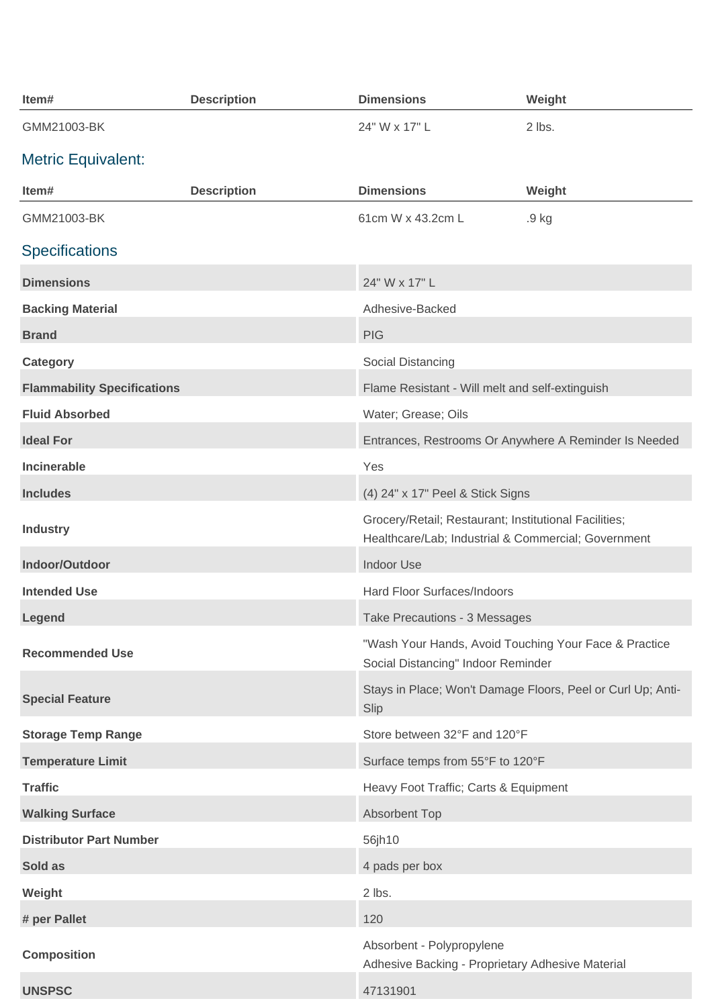| Item#                              | <b>Description</b> | <b>Dimensions</b>                                                                                            | Weight                                                      |
|------------------------------------|--------------------|--------------------------------------------------------------------------------------------------------------|-------------------------------------------------------------|
| GMM21003-BK                        |                    | 24" W x 17" L                                                                                                | 2 lbs.                                                      |
| <b>Metric Equivalent:</b>          |                    |                                                                                                              |                                                             |
| Item#                              | <b>Description</b> | <b>Dimensions</b>                                                                                            | Weight                                                      |
| GMM21003-BK                        |                    | 61cm W x 43.2cm L                                                                                            | .9 kg                                                       |
| <b>Specifications</b>              |                    |                                                                                                              |                                                             |
| <b>Dimensions</b>                  |                    | 24" W x 17" L                                                                                                |                                                             |
| <b>Backing Material</b>            |                    | Adhesive-Backed                                                                                              |                                                             |
| <b>Brand</b>                       |                    | <b>PIG</b>                                                                                                   |                                                             |
| Category                           |                    | Social Distancing                                                                                            |                                                             |
| <b>Flammability Specifications</b> |                    | Flame Resistant - Will melt and self-extinguish                                                              |                                                             |
| <b>Fluid Absorbed</b>              |                    | Water; Grease; Oils                                                                                          |                                                             |
| <b>Ideal For</b>                   |                    | Entrances, Restrooms Or Anywhere A Reminder Is Needed                                                        |                                                             |
| <b>Incinerable</b>                 |                    | Yes                                                                                                          |                                                             |
| <b>Includes</b>                    |                    | (4) 24" x 17" Peel & Stick Signs                                                                             |                                                             |
| <b>Industry</b>                    |                    | Grocery/Retail; Restaurant; Institutional Facilities;<br>Healthcare/Lab; Industrial & Commercial; Government |                                                             |
| Indoor/Outdoor                     |                    | <b>Indoor Use</b>                                                                                            |                                                             |
| <b>Intended Use</b>                |                    | Hard Floor Surfaces/Indoors                                                                                  |                                                             |
| Legend                             |                    | Take Precautions - 3 Messages                                                                                |                                                             |
| <b>Recommended Use</b>             |                    | "Wash Your Hands, Avoid Touching Your Face & Practice<br>Social Distancing" Indoor Reminder                  |                                                             |
| <b>Special Feature</b>             |                    | Slip                                                                                                         | Stays in Place; Won't Damage Floors, Peel or Curl Up; Anti- |
| <b>Storage Temp Range</b>          |                    | Store between 32°F and 120°F                                                                                 |                                                             |
| <b>Temperature Limit</b>           |                    | Surface temps from 55°F to 120°F                                                                             |                                                             |
| <b>Traffic</b>                     |                    | Heavy Foot Traffic; Carts & Equipment                                                                        |                                                             |
| <b>Walking Surface</b>             |                    | <b>Absorbent Top</b>                                                                                         |                                                             |
| <b>Distributor Part Number</b>     |                    | 56jh10                                                                                                       |                                                             |
| Sold as                            |                    | 4 pads per box                                                                                               |                                                             |
| Weight                             |                    | 2 lbs.                                                                                                       |                                                             |
| # per Pallet                       |                    | 120                                                                                                          |                                                             |
| <b>Composition</b>                 |                    | Absorbent - Polypropylene<br>Adhesive Backing - Proprietary Adhesive Material                                |                                                             |
| <b>UNSPSC</b>                      |                    | 47131901                                                                                                     |                                                             |
|                                    |                    |                                                                                                              |                                                             |